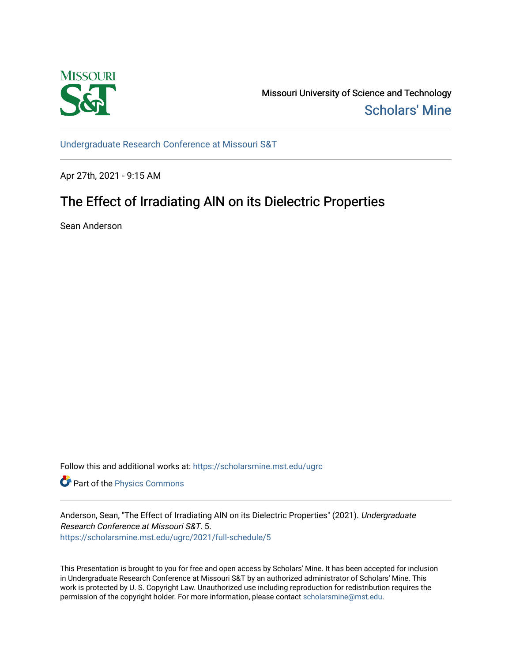

Missouri University of Science and Technology [Scholars' Mine](https://scholarsmine.mst.edu/) 

[Undergraduate Research Conference at Missouri S&T](https://scholarsmine.mst.edu/ugrc)

Apr 27th, 2021 - 9:15 AM

# The Effect of Irradiating AIN on its Dielectric Properties

Sean Anderson

Follow this and additional works at: [https://scholarsmine.mst.edu/ugrc](https://scholarsmine.mst.edu/ugrc?utm_source=scholarsmine.mst.edu%2Fugrc%2F2021%2Ffull-schedule%2F5&utm_medium=PDF&utm_campaign=PDFCoverPages) 

**Part of the [Physics Commons](http://network.bepress.com/hgg/discipline/193?utm_source=scholarsmine.mst.edu%2Fugrc%2F2021%2Ffull-schedule%2F5&utm_medium=PDF&utm_campaign=PDFCoverPages)** 

Anderson, Sean, "The Effect of Irradiating AlN on its Dielectric Properties" (2021). Undergraduate Research Conference at Missouri S&T. 5. [https://scholarsmine.mst.edu/ugrc/2021/full-schedule/5](https://scholarsmine.mst.edu/ugrc/2021/full-schedule/5?utm_source=scholarsmine.mst.edu%2Fugrc%2F2021%2Ffull-schedule%2F5&utm_medium=PDF&utm_campaign=PDFCoverPages)

This Presentation is brought to you for free and open access by Scholars' Mine. It has been accepted for inclusion in Undergraduate Research Conference at Missouri S&T by an authorized administrator of Scholars' Mine. This work is protected by U. S. Copyright Law. Unauthorized use including reproduction for redistribution requires the permission of the copyright holder. For more information, please contact [scholarsmine@mst.edu](mailto:scholarsmine@mst.edu).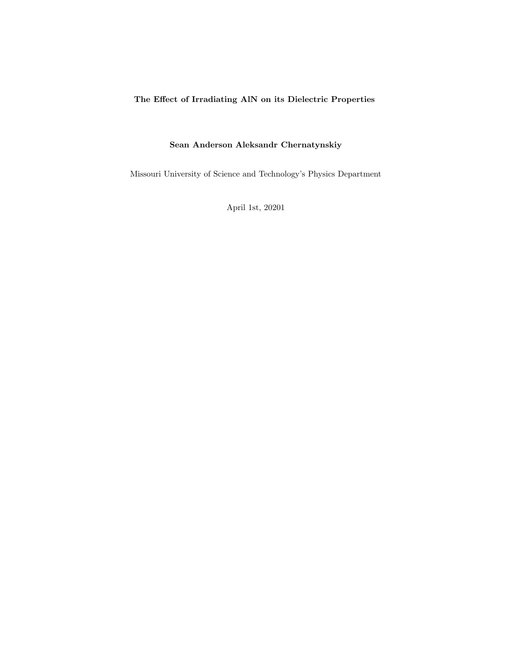### The Effect of Irradiating AlN on its Dielectric Properties

### Sean Anderson Aleksandr Chernatynskiy

Missouri University of Science and Technology's Physics Department

April 1st, 20201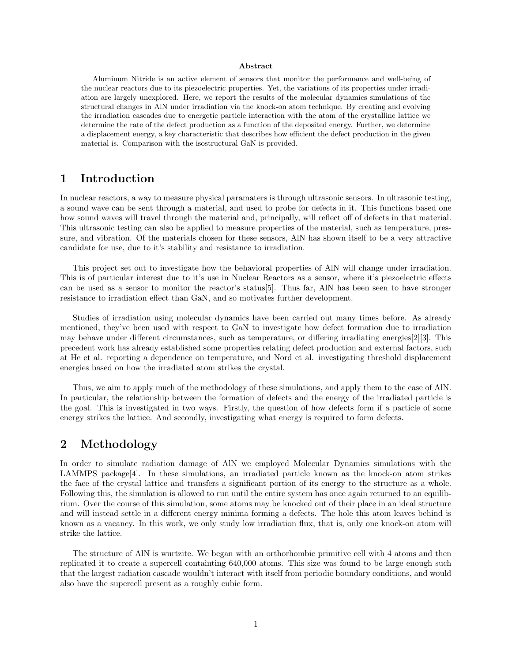#### Abstract

Aluminum Nitride is an active element of sensors that monitor the performance and well-being of the nuclear reactors due to its piezoelectric properties. Yet, the variations of its properties under irradiation are largely unexplored. Here, we report the results of the molecular dynamics simulations of the structural changes in AlN under irradiation via the knock-on atom technique. By creating and evolving the irradiation cascades due to energetic particle interaction with the atom of the crystalline lattice we determine the rate of the defect production as a function of the deposited energy. Further, we determine a displacement energy, a key characteristic that describes how efficient the defect production in the given material is. Comparison with the isostructural GaN is provided.

### 1 Introduction

In nuclear reactors, a way to measure physical paramaters is through ultrasonic sensors. In ultrasonic testing, a sound wave can be sent through a material, and used to probe for defects in it. This functions based one how sound waves will travel through the material and, principally, will reflect off of defects in that material. This ultrasonic testing can also be applied to measure properties of the material, such as temperature, pressure, and vibration. Of the materials chosen for these sensors, AlN has shown itself to be a very attractive candidate for use, due to it's stability and resistance to irradiation.

This project set out to investigate how the behavioral properties of AlN will change under irradiation. This is of particular interest due to it's use in Nuclear Reactors as a sensor, where it's piezoelectric effects can be used as a sensor to monitor the reactor's status[5]. Thus far, AlN has been seen to have stronger resistance to irradiation effect than GaN, and so motivates further development.

Studies of irradiation using molecular dynamics have been carried out many times before. As already mentioned, they've been used with respect to GaN to investigate how defect formation due to irradiation may behave under different circumstances, such as temperature, or differing irradiating energies[2][3]. This precedent work has already established some properties relating defect production and external factors, such at He et al. reporting a dependence on temperature, and Nord et al. investigating threshold displacement energies based on how the irradiated atom strikes the crystal.

Thus, we aim to apply much of the methodology of these simulations, and apply them to the case of AlN. In particular, the relationship between the formation of defects and the energy of the irradiated particle is the goal. This is investigated in two ways. Firstly, the question of how defects form if a particle of some energy strikes the lattice. And secondly, investigating what energy is required to form defects.

#### 2 Methodology

In order to simulate radiation damage of AlN we employed Molecular Dynamics simulations with the LAMMPS package  $|4|$ . In these simulations, an irradiated particle known as the knock-on atom strikes the face of the crystal lattice and transfers a significant portion of its energy to the structure as a whole. Following this, the simulation is allowed to run until the entire system has once again returned to an equilibrium. Over the course of this simulation, some atoms may be knocked out of their place in an ideal structure and will instead settle in a different energy minima forming a defects. The hole this atom leaves behind is known as a vacancy. In this work, we only study low irradiation flux, that is, only one knock-on atom will strike the lattice.

The structure of AlN is wurtzite. We began with an orthorhombic primitive cell with 4 atoms and then replicated it to create a supercell containting 640,000 atoms. This size was found to be large enough such that the largest radiation cascade wouldn't interact with itself from periodic boundary conditions, and would also have the supercell present as a roughly cubic form.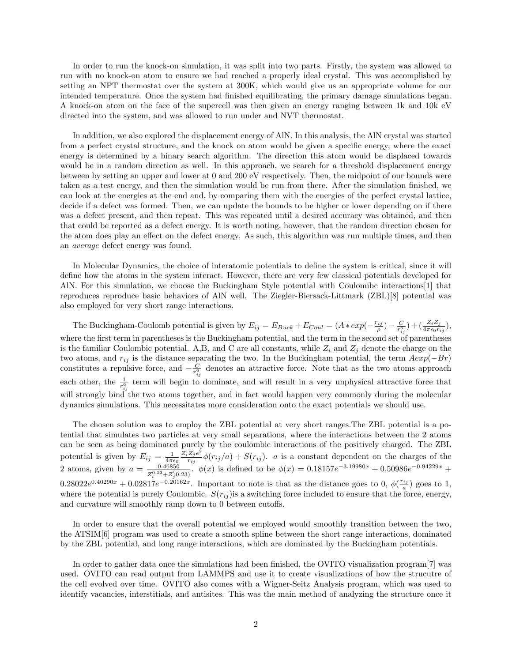In order to run the knock-on simulation, it was split into two parts. Firstly, the system was allowed to run with no knock-on atom to ensure we had reached a properly ideal crystal. This was accomplished by setting an NPT thermostat over the system at 300K, which would give us an appropriate volume for our intended temperature. Once the system had finished equilibrating, the primary damage simulations began. A knock-on atom on the face of the supercell was then given an energy ranging between 1k and 10k eV directed into the system, and was allowed to run under and NVT thermostat.

In addition, we also explored the displacement energy of AlN. In this analysis, the AlN crystal was started from a perfect crystal structure, and the knock on atom would be given a specific energy, where the exact energy is determined by a binary search algorithm. The direction this atom would be displaced towards would be in a random direction as well. In this approach, we search for a threshold displacement energy between by setting an upper and lower at 0 and 200 eV respectively. Then, the midpoint of our bounds were taken as a test energy, and then the simulation would be run from there. After the simulation finished, we can look at the energies at the end and, by comparing them with the energies of the perfect crystal lattice, decide if a defect was formed. Then, we can update the bounds to be higher or lower depending on if there was a defect present, and then repeat. This was repeated until a desired accuracy was obtained, and then that could be reported as a defect energy. It is worth noting, however, that the random direction chosen for the atom does play an effect on the defect energy. As such, this algorithm was run multiple times, and then an average defect energy was found.

In Molecular Dynamics, the choice of interatomic potentials to define the system is critical, since it will define how the atoms in the system interact. However, there are very few classical potentials developed for AlN. For this simulation, we choose the Buckingham Style potential with Coulomibc interactions[1] that reproduces reproduce basic behaviors of AlN well. The Ziegler-Biersack-Littmark (ZBL)[8] potential was also employed for very short range interactions.

The Buckingham-Coulomb potential is given by  $E_{ij} = E_{Buck} + E_{Coul} = (A * exp(-\frac{r_{ij}}{\rho}) - \frac{C}{r_{ij}^6}) + (\frac{Z_i Z_j}{4 \pi \epsilon_0 r_{ij}})$ , where the first term in parentheses is the Buckingham potential, and the term in the second set of parentheses is the familiar Coulombic potential. A,B, and C are all constants, while  $Z_i$  and  $Z_j$  denote the charge on the two atoms, and  $r_{ij}$  is the distance separating the two. In the Buckingham potential, the term  $Aexp(-Br)$ constitutes a repulsive force, and  $-\frac{C}{r_{ij}^6}$  denotes an attractive force. Note that as the two atoms approach each other, the  $\frac{1}{r_{ij}^6}$  term will begin to dominate, and will result in a very unphysical attractive force that will strongly bind the two atoms together, and in fact would happen very commonly during the molecular dynamics simulations. This necessitates more consideration onto the exact potentials we should use.

The chosen solution was to employ the ZBL potential at very short ranges.The ZBL potential is a potential that simulates two particles at very small separations, where the interactions between the 2 atoms can be seen as being dominated purely by the coulombic interactions of the positively charged. The ZBL potential is given by  $E_{ij} = \frac{1}{4\pi\epsilon_0}$  $Z_iZ_je^2$  $\frac{Z_j e}{r_{ij}}\phi(r_{ij}/a) + S(r_{ij})$ . *a* is a constant dependent on the charges of the 2 atoms, given by  $a = \frac{0.46850}{70.33 \times 700}$  $\frac{0.46850}{Z_i^{0.23}+Z_j^{(0.23)}}$ .  $\phi(x)$  is defined to be  $\phi(x) = 0.18157e^{-3.19980x} + 0.50986e^{-0.94229x} +$  $0.28022e^{0.40290x} + 0.02817e^{-0.20162x}$ . Important to note is that as the distance goes to 0,  $\phi(\frac{r_{ij}}{a})$  goes to 1, where the potential is purely Coulombic.  $S(r_{ij})$  is a switching force included to ensure that the force, energy, and curvature will smoothly ramp down to 0 between cutoffs.

In order to ensure that the overall potential we employed would smoothly transition between the two, the ATSIM[6] program was used to create a smooth spline between the short range interactions, dominated by the ZBL potential, and long range interactions, which are dominated by the Buckingham potentials.

In order to gather data once the simulations had been finished, the OVITO visualization program[7] was used. OVITO can read output from LAMMPS and use it to create visualizations of how the strucutre of the cell evolved over time. OVITO also comes with a Wigner-Seitz Analysis program, which was used to identify vacancies, interstitials, and antisites. This was the main method of analyzing the structure once it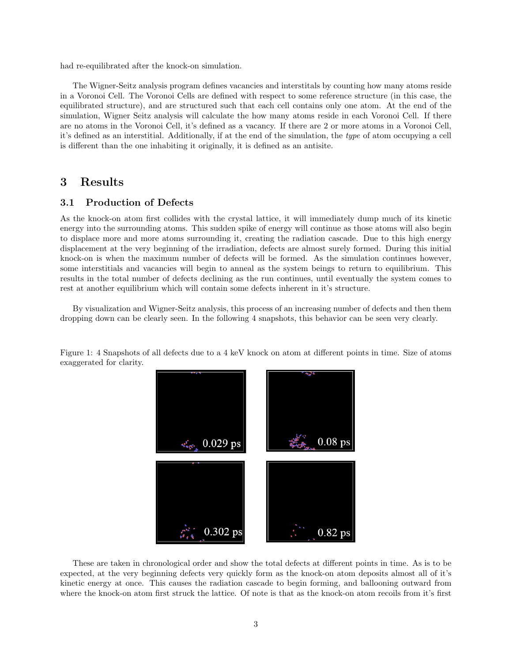had re-equilibrated after the knock-on simulation.

The Wigner-Seitz analysis program defines vacancies and interstitals by counting how many atoms reside in a Voronoi Cell. The Voronoi Cells are defined with respect to some reference structure (in this case, the equilibrated structure), and are structured such that each cell contains only one atom. At the end of the simulation, Wigner Seitz analysis will calculate the how many atoms reside in each Voronoi Cell. If there are no atoms in the Voronoi Cell, it's defined as a vacancy. If there are 2 or more atoms in a Voronoi Cell, it's defined as an interstitial. Additionally, if at the end of the simulation, the type of atom occupying a cell is different than the one inhabiting it originally, it is defined as an antisite.

#### 3 Results

#### 3.1 Production of Defects

As the knock-on atom first collides with the crystal lattice, it will immediately dump much of its kinetic energy into the surrounding atoms. This sudden spike of energy will continue as those atoms will also begin to displace more and more atoms surrounding it, creating the radiation cascade. Due to this high energy displacement at the very beginning of the irradiation, defects are almost surely formed. During this initial knock-on is when the maximum number of defects will be formed. As the simulation continues however, some interstitials and vacancies will begin to anneal as the system beings to return to equilibrium. This results in the total number of defects declining as the run continues, until eventually the system comes to rest at another equilibrium which will contain some defects inherent in it's structure.

By visualization and Wigner-Seitz analysis, this process of an increasing number of defects and then them dropping down can be clearly seen. In the following 4 snapshots, this behavior can be seen very clearly.

Figure 1: 4 Snapshots of all defects due to a 4 keV knock on atom at different points in time. Size of atoms exaggerated for clarity.



These are taken in chronological order and show the total defects at different points in time. As is to be expected, at the very beginning defects very quickly form as the knock-on atom deposits almost all of it's kinetic energy at once. This causes the radiation cascade to begin forming, and ballooning outward from where the knock-on atom first struck the lattice. Of note is that as the knock-on atom recoils from it's first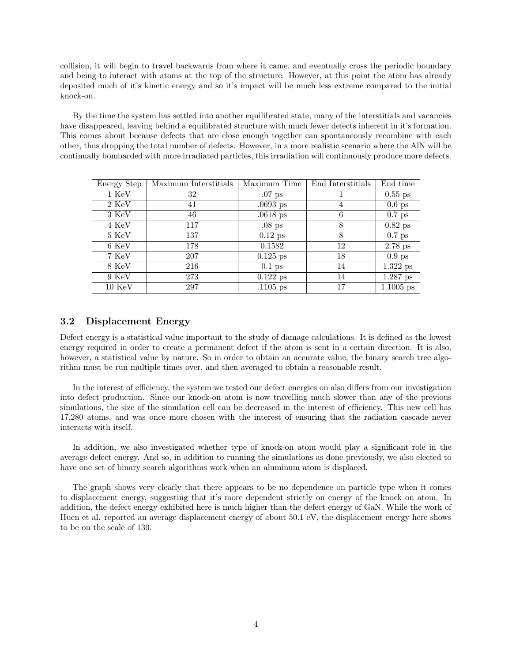collision, it will begin to travel backwards from where it came, and eventually cross the periodic boundary and being to interact with atoms at the top of the structure. However, at this point the atom has already deposited much of it's kinetic energy and so it's impact will be much less extreme compared to the initial knock-on.

By the time the system has settled into another equilibrated state, many of the interstitials and vacancies have disappeared, leaving behind a equilibrated structure with much fewer defects inherent in it's formation. This comes about because defects that are close enough together can spontaneously recombine with each other, thus dropping the total number of defects. However, in a more realistic scenario where the AlN will be continually bombarded with more irradiated particles, this irradiation will continuously produce more defects.

| Energy Step       | Maximum Interstitials | Maximum Time | End Interstitials | End time    |
|-------------------|-----------------------|--------------|-------------------|-------------|
| 1 KeV             | 32                    | $.07$ ps     |                   | $0.55$ ps   |
| 2 KeV             | 41                    | $.0693$ ps   | 4                 | $0.6$ ps    |
| 3 KeV             | 46                    | $.0618$ ps   | 6                 | $0.7$ ps    |
| 4 KeV             | 117                   | $.08$ ps     | 8                 | $0.82$ ps   |
| 5 KeV             | 137                   | $0.12$ ps    | 8                 | $0.7$ ps    |
| 6 KeV             | 178                   | 0.1582       | 12                | $2.78$ ps   |
| 7 KeV             | 207                   | $0.125$ ps   | 18                | $0.9$ ps    |
| 8 KeV             | 216                   | $0.1$ ps     | 14                | $1.322$ ps  |
| 9 KeV             | 273                   | $0.122$ ps   | 14                | $1.287$ ps  |
| $10~\mathrm{KeV}$ | 297                   | $.1105$ ps   | 17                | $1.1005$ ps |

#### 3.2 Displacement Energy

Defect energy is a statistical value important to the study of damage calculations. It is defined as the lowest energy required in order to create a permanent defect if the atom is sent in a certain direction. It is also, however, a statistical value by nature. So in order to obtain an accurate value, the binary search tree algorithm must be run multiple times over, and then averaged to obtain a reasonable result.

In the interest of efficiency, the system we tested our defect energies on also differs from our investigation into defect production. Since our knock-on atom is now travelling much slower than any of the previous simulations, the size of the simulation cell can be decreased in the interest of efficiency. This new cell has 17,280 atoms, and was once more chosen with the interest of ensuring that the radiation cascade never interacts with itself.

In addition, we also investigated whether type of knock-on atom would play a significant role in the average defect energy. And so, in addition to running the simulations as done previously, we also elected to have one set of binary search algorithms work when an aluminum atom is displaced.

The graph shows very clearly that there appears to be no dependence on particle type when it comes to displacement energy, suggesting that it's more dependent strictly on energy of the knock on atom. In addition, the defect energy exhibited here is much higher than the defect energy of GaN. While the work of Huen et al. reported an average displacement energy of about 50.1 eV, the displacement energy here shows to be on the scale of 130.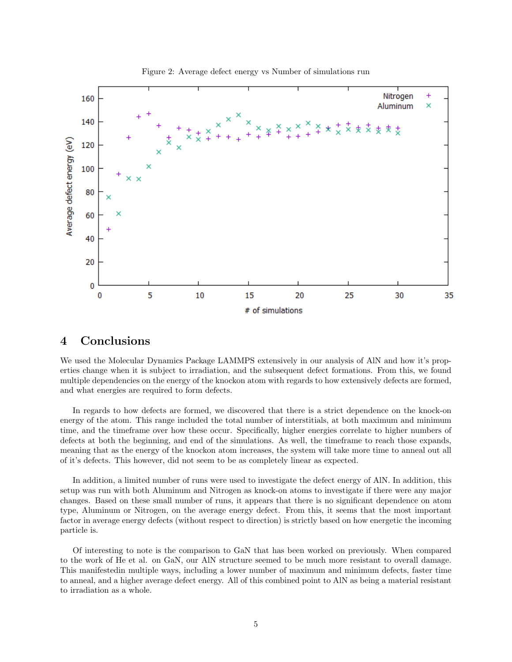

Figure 2: Average defect energy vs Number of simulations run

#### 4 Conclusions

We used the Molecular Dynamics Package LAMMPS extensively in our analysis of AlN and how it's properties change when it is subject to irradiation, and the subsequent defect formations. From this, we found multiple dependencies on the energy of the knockon atom with regards to how extensively defects are formed, and what energies are required to form defects.

In regards to how defects are formed, we discovered that there is a strict dependence on the knock-on energy of the atom. This range included the total number of interstitials, at both maximum and minimum time, and the timeframe over how these occur. Specifically, higher energies correlate to higher numbers of defects at both the beginning, and end of the simulations. As well, the timeframe to reach those expands, meaning that as the energy of the knockon atom increases, the system will take more time to anneal out all of it's defects. This however, did not seem to be as completely linear as expected.

In addition, a limited number of runs were used to investigate the defect energy of AlN. In addition, this setup was run with both Aluminum and Nitrogen as knock-on atoms to investigate if there were any major changes. Based on these small number of runs, it appears that there is no significant dependence on atom type, Aluminum or Nitrogen, on the average energy defect. From this, it seems that the most important factor in average energy defects (without respect to direction) is strictly based on how energetic the incoming particle is.

Of interesting to note is the comparison to GaN that has been worked on previously. When compared to the work of He et al. on GaN, our AlN structure seemed to be much more resistant to overall damage. This manifestedin multiple ways, including a lower number of maximum and minimum defects, faster time to anneal, and a higher average defect energy. All of this combined point to AlN as being a material resistant to irradiation as a whole.